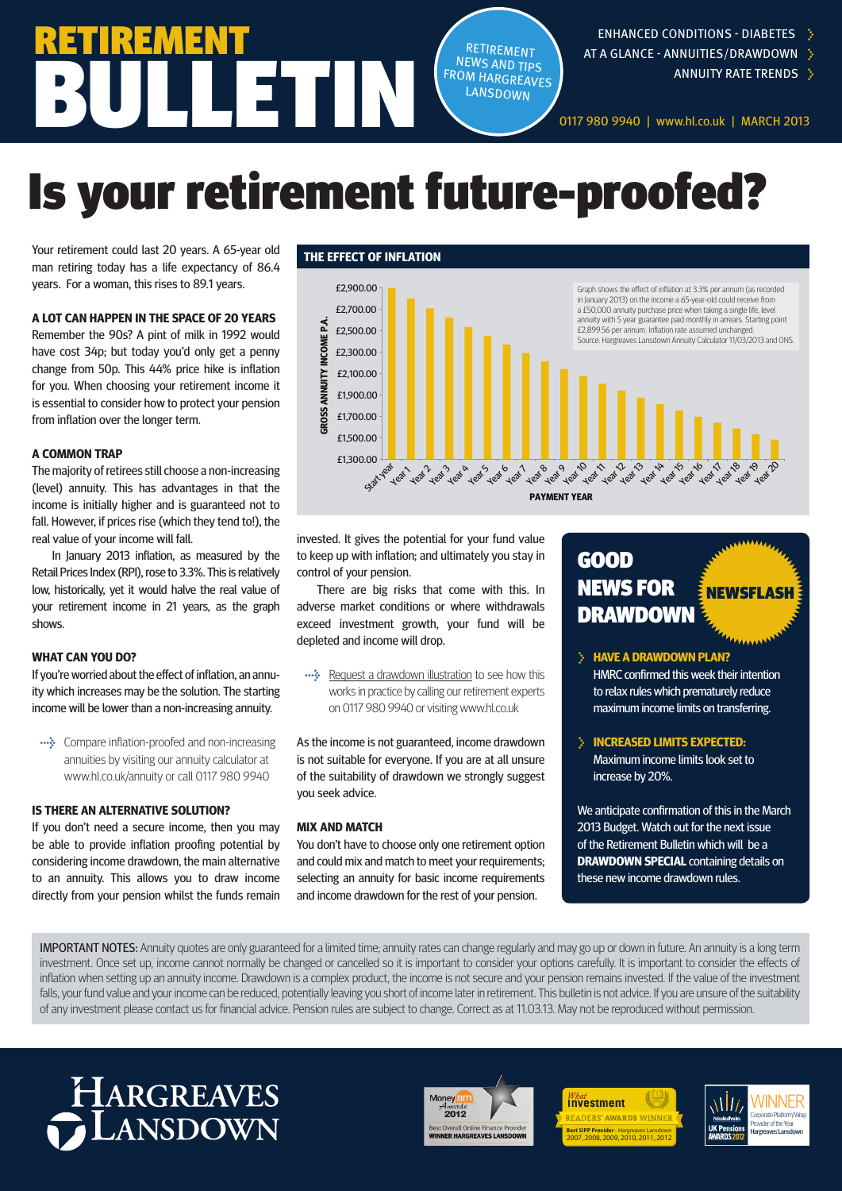### ENHANCED CONDITIONS - DIABETES **>**

- AT A GLANCE ANNUITIES/DRAWDOWN **>**
	- ANNUITY RATE TRENDS **>**

0117 980 9940 | www.hl.co.uk | MARCH 2013

# Is your retirement future-proofed?

BUN

Your retirement could last 20 years. A 65-year old man retiring today has a life expectancy of 86.4 years. For a woman, this rises to 89.1 years.

RETIREMENT

### **A LOT CAN HAPPEN IN THE SPACE OF 20 YEARS**

Remember the 90s? A pint of milk in 1992 would have cost 34p; but today you'd only get a penny change from 50p. This 44% price hike is inflation for you. When choosing your retirement income it is essential to consider how to protect your pension from inflation over the longer term.

#### **A COMMON TRAP**

The majority of retirees still choose a non-increasing (level) annuity. This has advantages in that the income is initially higher and is guaranteed not to fall. However, if prices rise (which they tend to!), the real value of your income will fall.

In January 2013 inflation, as measured by the Retail Prices Index (RPI), rose to 3.3%. This is relatively low, historically, yet it would halve the real value of your retirement income in 21 years, as the graph shows.

### **WHAT CAN YOU DO?**

If you're worried about the effect of inflation, an annuity which increases may be the solution. The starting income will be lower than a non-increasing annuity.

**→** Compare inflation-proofed and non-increasing annuities by visiting our annuity calculator at www.hl.co.uk/annuity or call 0117 980 9940

#### **IS THERE AN ALTERNATIVE SOLUTION?**

If you don't need a secure income, then you may be able to provide inflation proofing potential by considering income drawdown, the main alternative to an annuity. This allows you to draw income directly from your pension whilst the funds remain



RETIREMENT NEWS AND TIPS FROM HARGREAVES **LANSDOWN** 

invested. It gives the potential for your fund value to keep up with inflation; and ultimately you stay in control of your pension.

There are big risks that come with this. In adverse market conditions or where withdrawals exceed investment growth, your fund will be depleted and income will drop.

**→** Request a drawdown illustration to see how this works in practice by calling our retirement experts on 0117 980 9940 or visiting www.hl.co.uk

As the income is not guaranteed, income drawdown is not suitable for everyone. If you are at all unsure of the suitability of drawdown we strongly suggest you seek advice.

### **MIX AND MATCH**

You don't have to choose only one retirement option and could mix and match to meet your requirements; selecting an annuity for basic income requirements and income drawdown for the rest of your pension.

### GOOD NEWS FOR DRAWDOWN NEWSFLASH

**> HAVE A DRAWDOWN PLAN?** HMRC confirmed this week their intention to relax rules which prematurely reduce maximum income limits on transferring.

**> INCREASED LIMITS EXPECTED:**  Maximum income limits look set to increase by 20%.

We anticipate confirmation of this in the March 2013 Budget. Watch out for the next issue of the Retirement Bulletin which will be a **DRAWDOWN SPECIAL** containing details on these new income drawdown rules.

IMPORTANT NOTES: Annuity quotes are only guaranteed for a limited time; annuity rates can change regularly and may go up or down in future. An annuity is a long term investment. Once set up, income cannot normally be changed or cancelled so it is important to consider your options carefully. It is important to consider the effects of inflation when setting up an annuity income. Drawdown is a complex product, the income is not secure and your pension remains invested. If the value of the investment falls, your fund value and your income can be reduced, potentially leaving you short of income later in retirement. This bulletin is not advice. If you are unsure of the suitability of any investment please contact us for financial advice. Pension rules are subject to change. Correct as at 11.03.13. May not be reproduced without permission.

## HARGREAVES LANSDOWN